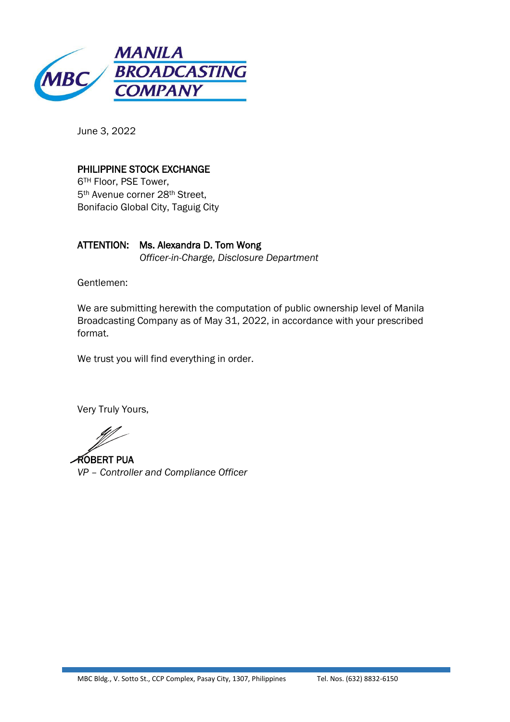

June 3, 2022

## PHILIPPINE STOCK EXCHANGE

6TH Floor, PSE Tower, 5th Avenue corner 28th Street, Bonifacio Global City, Taguig City

ATTENTION: Ms. Alexandra D. Tom Wong *Officer-in-Charge, Disclosure Department*

Gentlemen:

We are submitting herewith the computation of public ownership level of Manila Broadcasting Company as of May 31, 2022, in accordance with your prescribed format.

We trust you will find everything in order.

Very Truly Yours,

ROBERT PUA *VP – Controller and Compliance Officer*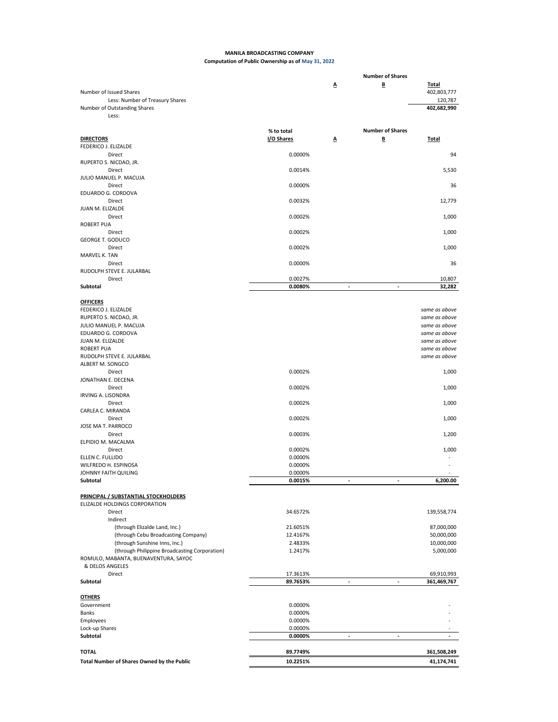## **MANILA BROADCASTING COMPANY Computation of Public Ownership as of May 31, 2022**

|                                               |            |                | <b>Number of Shares</b> |               |
|-----------------------------------------------|------------|----------------|-------------------------|---------------|
|                                               |            | Δ              | B                       | <b>Total</b>  |
| Number of Issued Shares                       |            |                |                         | 402,803,777   |
| Less: Number of Treasury Shares               |            |                |                         | 120,787       |
| Number of Outstanding Shares                  |            |                |                         | 402,682,990   |
| Less:                                         |            |                |                         |               |
|                                               |            |                |                         |               |
|                                               | % to total |                | <b>Number of Shares</b> |               |
| <b>DIRECTORS</b>                              | I/O Shares | Δ              | ₿                       | <b>Total</b>  |
| FEDERICO J. ELIZALDE                          |            |                |                         |               |
| Direct                                        | 0.0000%    |                |                         | 94            |
| RUPERTO S. NICDAO, JR.                        |            |                |                         |               |
| Direct                                        | 0.0014%    |                |                         | 5,530         |
| JULIO MANUEL P. MACUJA                        |            |                |                         |               |
| Direct                                        | 0.0000%    |                |                         | 36            |
| EDUARDO G. CORDOVA                            |            |                |                         |               |
| Direct                                        | 0.0032%    |                |                         | 12,779        |
| JUAN M. ELIZALDE                              |            |                |                         |               |
| Direct                                        | 0.0002%    |                |                         | 1,000         |
| <b>ROBERT PUA</b>                             |            |                |                         |               |
| Direct                                        | 0.0002%    |                |                         | 1,000         |
| <b>GEORGE T. GODUCO</b>                       |            |                |                         |               |
| Direct                                        | 0.0002%    |                |                         | 1,000         |
| MARVEL K. TAN                                 |            |                |                         |               |
|                                               |            |                |                         |               |
| Direct                                        | 0.0000%    |                |                         | 36            |
| RUDOLPH STEVE E. JULARBAL                     |            |                |                         |               |
| Direct                                        | 0.0027%    |                |                         | 10,807        |
| Subtotal                                      | 0.0080%    | $\blacksquare$ | ä,                      | 32,282        |
|                                               |            |                |                         |               |
| <b>OFFICERS</b>                               |            |                |                         |               |
| FEDERICO J. ELIZALDE                          |            |                |                         | same as above |
| RUPERTO S. NICDAO, JR.                        |            |                |                         | same as above |
| JULIO MANUEL P. MACUJA                        |            |                |                         | same as above |
| EDUARDO G. CORDOVA                            |            |                |                         | same as above |
| JUAN M. ELIZALDE                              |            |                |                         | same as above |
| <b>ROBERT PUA</b>                             |            |                |                         | same as above |
| RUDOLPH STEVE E. JULARBAL                     |            |                |                         | same as above |
| ALBERT M. SONGCO                              |            |                |                         |               |
| Direct                                        | 0.0002%    |                |                         | 1,000         |
| JONATHAN E. DECENA                            |            |                |                         |               |
| Direct                                        | 0.0002%    |                |                         | 1,000         |
| <b>IRVING A. LISONDRA</b>                     |            |                |                         |               |
| Direct                                        | 0.0002%    |                |                         | 1,000         |
| CARLEA C. MIRANDA                             |            |                |                         |               |
| Direct                                        | 0.0002%    |                |                         | 1,000         |
| JOSE MA T. PARROCO                            |            |                |                         |               |
| Direct                                        | 0.0003%    |                |                         | 1,200         |
| ELPIDIO M. MACALMA                            |            |                |                         |               |
| Direct                                        | 0.0002%    |                |                         | 1,000         |
| ELLEN C. FULLIDO                              | 0.0000%    |                |                         |               |
| WILFREDO H. ESPINOSA                          | 0.0000%    |                |                         |               |
| JOHNNY FAITH QUILING                          |            |                |                         |               |
|                                               | 0.0000%    |                |                         | 6,200.00      |
| Subtotal                                      | 0.0015%    |                |                         |               |
|                                               |            |                |                         |               |
| <b>PRINCIPAL / SUBSTANTIAL STOCKHOLDERS</b>   |            |                |                         |               |
| ELIZALDE HOLDINGS CORPORATION                 |            |                |                         |               |
| <b>Direct</b>                                 | 34.6572%   |                |                         | 139,558,774   |
| Indirect                                      |            |                |                         |               |
| (through Elizalde Land, Inc.)                 | 21.6051%   |                |                         | 87,000,000    |
| (through Cebu Broadcasting Company)           | 12.4167%   |                |                         | 50,000,000    |
| (through Sunshine Inns, Inc.)                 | 2.4833%    |                |                         | 10,000,000    |
| (through Philippine Broadcasting Corporation) | 1.2417%    |                |                         | 5,000,000     |
| ROMULO, MABANTA, BUENAVENTURA, SAYOC          |            |                |                         |               |
| & DELOS ANGELES                               |            |                |                         |               |
| Direct                                        | 17.3613%   |                |                         | 69,910,993    |
| Subtotal                                      | 89.7653%   | ٠              | ٠                       | 361,469,767   |
|                                               |            |                |                         |               |
| <b>OTHERS</b>                                 |            |                |                         |               |
| Government                                    | 0.0000%    |                |                         |               |
| Banks                                         | 0.0000%    |                |                         |               |
| Employees                                     | 0.0000%    |                |                         |               |
| Lock-up Shares                                | 0.0000%    |                |                         |               |
| Subtotal                                      | 0.0000%    |                |                         | ٠             |
|                                               |            |                |                         |               |
| <b>TOTAL</b>                                  | 89.7749%   |                |                         | 361,508,249   |
|                                               |            |                |                         |               |
| Total Number of Shares Owned by the Public    | 10.2251%   |                |                         | 41,174,741    |